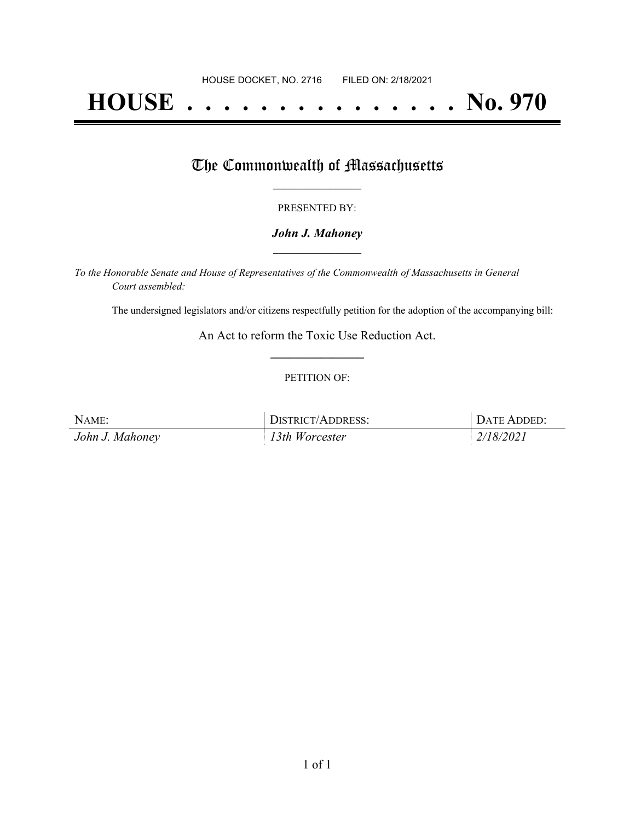# **HOUSE . . . . . . . . . . . . . . . No. 970**

## The Commonwealth of Massachusetts

#### PRESENTED BY:

#### *John J. Mahoney* **\_\_\_\_\_\_\_\_\_\_\_\_\_\_\_\_\_**

*To the Honorable Senate and House of Representatives of the Commonwealth of Massachusetts in General Court assembled:*

The undersigned legislators and/or citizens respectfully petition for the adoption of the accompanying bill:

An Act to reform the Toxic Use Reduction Act. **\_\_\_\_\_\_\_\_\_\_\_\_\_\_\_**

#### PETITION OF:

| NAME:           | DISTRICT/ADDRESS: | DATE ADDED: |
|-----------------|-------------------|-------------|
| John J. Mahoney | 13th Worcester    | 2/18/2021   |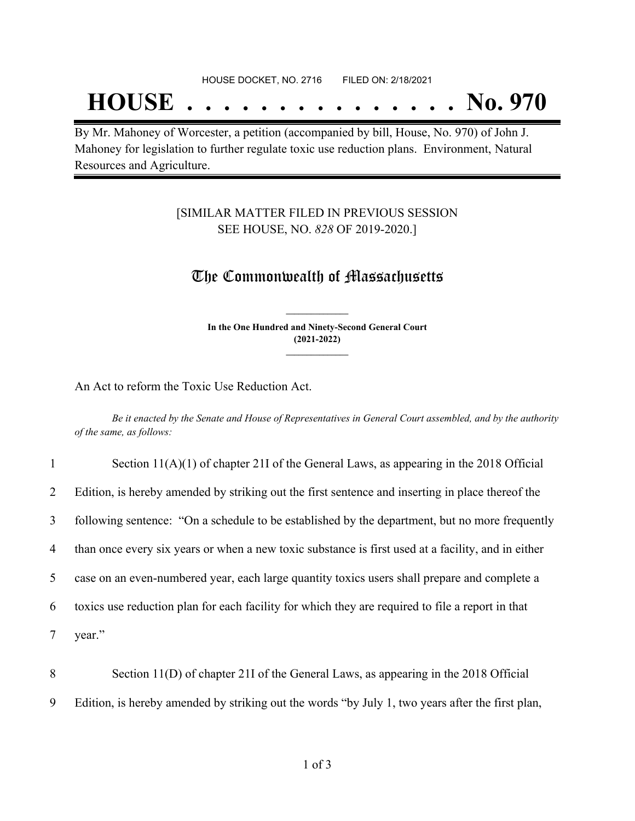## **HOUSE . . . . . . . . . . . . . . . No. 970**

By Mr. Mahoney of Worcester, a petition (accompanied by bill, House, No. 970) of John J. Mahoney for legislation to further regulate toxic use reduction plans. Environment, Natural Resources and Agriculture.

#### [SIMILAR MATTER FILED IN PREVIOUS SESSION SEE HOUSE, NO. *828* OF 2019-2020.]

### The Commonwealth of Massachusetts

**In the One Hundred and Ninety-Second General Court (2021-2022) \_\_\_\_\_\_\_\_\_\_\_\_\_\_\_**

**\_\_\_\_\_\_\_\_\_\_\_\_\_\_\_**

An Act to reform the Toxic Use Reduction Act.

Be it enacted by the Senate and House of Representatives in General Court assembled, and by the authority *of the same, as follows:*

| $\mathbf{1}$   | Section $11(A)(1)$ of chapter 21I of the General Laws, as appearing in the 2018 Official           |
|----------------|----------------------------------------------------------------------------------------------------|
| $\overline{2}$ | Edition, is hereby amended by striking out the first sentence and inserting in place thereof the   |
| $\mathfrak{Z}$ | following sentence: "On a schedule to be established by the department, but no more frequently     |
| 4              | than once every six years or when a new toxic substance is first used at a facility, and in either |
| 5              | case on an even-numbered year, each large quantity toxics users shall prepare and complete a       |
| 6              | toxics use reduction plan for each facility for which they are required to file a report in that   |
| 7              | year."                                                                                             |
|                |                                                                                                    |

8 Section 11(D) of chapter 21I of the General Laws, as appearing in the 2018 Official 9 Edition, is hereby amended by striking out the words "by July 1, two years after the first plan,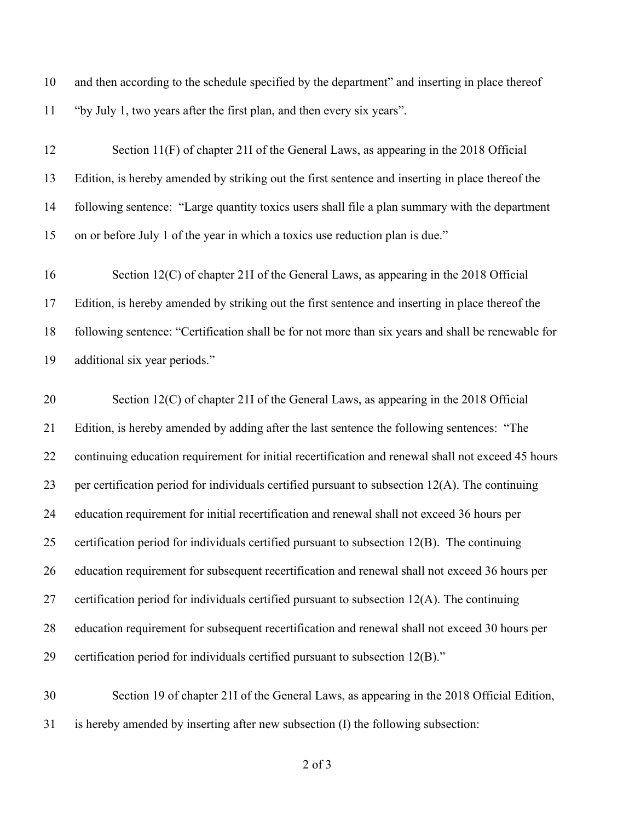and then according to the schedule specified by the department" and inserting in place thereof "by July 1, two years after the first plan, and then every six years".

| 12 | Section 11(F) of chapter 21I of the General Laws, as appearing in the 2018 Official                |
|----|----------------------------------------------------------------------------------------------------|
| 13 | Edition, is hereby amended by striking out the first sentence and inserting in place thereof the   |
| 14 | following sentence: "Large quantity toxics users shall file a plan summary with the department     |
| 15 | on or before July 1 of the year in which a toxics use reduction plan is due."                      |
| 16 | Section 12(C) of chapter 21I of the General Laws, as appearing in the 2018 Official                |
| 17 | Edition, is hereby amended by striking out the first sentence and inserting in place thereof the   |
| 18 | following sentence: "Certification shall be for not more than six years and shall be renewable for |
| 19 | additional six year periods."                                                                      |
| 20 | Section 12(C) of chapter 21I of the General Laws, as appearing in the 2018 Official                |
| 21 | Edition, is hereby amended by adding after the last sentence the following sentences: "The         |
| 22 | continuing education requirement for initial recertification and renewal shall not exceed 45 hours |
| 23 | per certification period for individuals certified pursuant to subsection $12(A)$ . The continuing |
| 24 | education requirement for initial recertification and renewal shall not exceed 36 hours per        |
| 25 | certification period for individuals certified pursuant to subsection 12(B). The continuing        |
| 26 | education requirement for subsequent recertification and renewal shall not exceed 36 hours per     |
| 27 | certification period for individuals certified pursuant to subsection 12(A). The continuing        |
| 28 | education requirement for subsequent recertification and renewal shall not exceed 30 hours per     |
| 29 | certification period for individuals certified pursuant to subsection 12(B)."                      |
|    |                                                                                                    |

 Section 19 of chapter 21I of the General Laws, as appearing in the 2018 Official Edition, is hereby amended by inserting after new subsection (I) the following subsection:

of 3